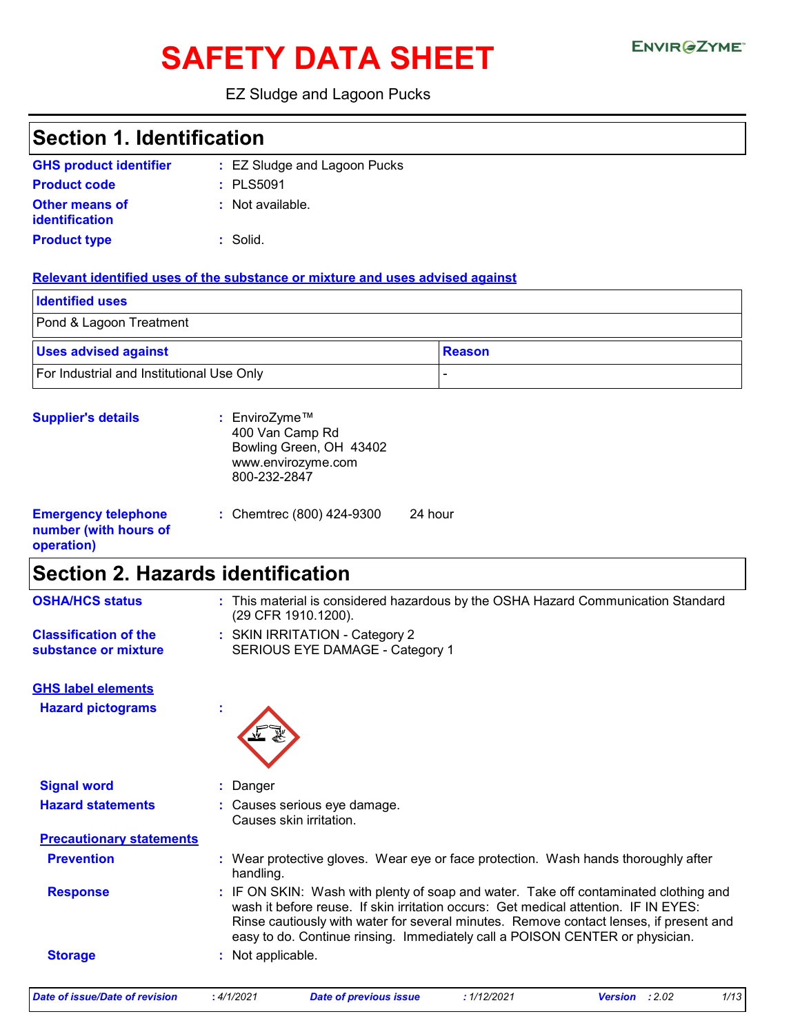# SAFETY DATA SHEET ENVIRGETMEN

### EZ Sludge and Lagoon Pucks

| <b>Section 1. Identification</b><br><b>GHS product identifier</b><br>: EZ Sludge and Lagoon Pucks<br>: PLS5091<br><b>Product code</b><br>: Not available.<br><b>Other means of</b><br>identification<br><b>Product type</b><br>: Solid.<br>Relevant identified uses of the substance or mixture and uses advised against<br><b>Identified uses</b><br>Pond & Lagoon Treatment<br><b>Uses advised against</b><br><b>Reason</b><br>For Industrial and Institutional Use Only<br>: EnviroZyme™<br><b>Supplier's details</b><br>400 Van Camp Rd<br>Bowling Green, OH 43402<br>www.envirozyme.com<br>800-232-2847<br><b>Emergency telephone</b><br>24 hour<br>: Chemtrec (800) 424-9300<br>number (with hours of<br>operation)<br><b>Section 2. Hazards identification</b><br><b>OSHA/HCS status</b><br>: This material is considered hazardous by the OSHA Hazard Communication Standard<br>(29 CFR 1910.1200).<br><b>Classification of the</b><br>: SKIN IRRITATION - Category 2<br>SERIOUS EYE DAMAGE - Category 1<br>substance or mixture<br><b>GHS label elements</b><br><b>Hazard pictograms</b><br><b>Signal word</b><br>Danger |                                                                                                                                                                                                                                                                       |  |  |
|-----------------------------------------------------------------------------------------------------------------------------------------------------------------------------------------------------------------------------------------------------------------------------------------------------------------------------------------------------------------------------------------------------------------------------------------------------------------------------------------------------------------------------------------------------------------------------------------------------------------------------------------------------------------------------------------------------------------------------------------------------------------------------------------------------------------------------------------------------------------------------------------------------------------------------------------------------------------------------------------------------------------------------------------------------------------------------------------------------------------------------------|-----------------------------------------------------------------------------------------------------------------------------------------------------------------------------------------------------------------------------------------------------------------------|--|--|
|                                                                                                                                                                                                                                                                                                                                                                                                                                                                                                                                                                                                                                                                                                                                                                                                                                                                                                                                                                                                                                                                                                                                   |                                                                                                                                                                                                                                                                       |  |  |
|                                                                                                                                                                                                                                                                                                                                                                                                                                                                                                                                                                                                                                                                                                                                                                                                                                                                                                                                                                                                                                                                                                                                   |                                                                                                                                                                                                                                                                       |  |  |
|                                                                                                                                                                                                                                                                                                                                                                                                                                                                                                                                                                                                                                                                                                                                                                                                                                                                                                                                                                                                                                                                                                                                   |                                                                                                                                                                                                                                                                       |  |  |
|                                                                                                                                                                                                                                                                                                                                                                                                                                                                                                                                                                                                                                                                                                                                                                                                                                                                                                                                                                                                                                                                                                                                   |                                                                                                                                                                                                                                                                       |  |  |
|                                                                                                                                                                                                                                                                                                                                                                                                                                                                                                                                                                                                                                                                                                                                                                                                                                                                                                                                                                                                                                                                                                                                   |                                                                                                                                                                                                                                                                       |  |  |
|                                                                                                                                                                                                                                                                                                                                                                                                                                                                                                                                                                                                                                                                                                                                                                                                                                                                                                                                                                                                                                                                                                                                   |                                                                                                                                                                                                                                                                       |  |  |
|                                                                                                                                                                                                                                                                                                                                                                                                                                                                                                                                                                                                                                                                                                                                                                                                                                                                                                                                                                                                                                                                                                                                   |                                                                                                                                                                                                                                                                       |  |  |
|                                                                                                                                                                                                                                                                                                                                                                                                                                                                                                                                                                                                                                                                                                                                                                                                                                                                                                                                                                                                                                                                                                                                   |                                                                                                                                                                                                                                                                       |  |  |
|                                                                                                                                                                                                                                                                                                                                                                                                                                                                                                                                                                                                                                                                                                                                                                                                                                                                                                                                                                                                                                                                                                                                   |                                                                                                                                                                                                                                                                       |  |  |
|                                                                                                                                                                                                                                                                                                                                                                                                                                                                                                                                                                                                                                                                                                                                                                                                                                                                                                                                                                                                                                                                                                                                   |                                                                                                                                                                                                                                                                       |  |  |
|                                                                                                                                                                                                                                                                                                                                                                                                                                                                                                                                                                                                                                                                                                                                                                                                                                                                                                                                                                                                                                                                                                                                   |                                                                                                                                                                                                                                                                       |  |  |
|                                                                                                                                                                                                                                                                                                                                                                                                                                                                                                                                                                                                                                                                                                                                                                                                                                                                                                                                                                                                                                                                                                                                   |                                                                                                                                                                                                                                                                       |  |  |
|                                                                                                                                                                                                                                                                                                                                                                                                                                                                                                                                                                                                                                                                                                                                                                                                                                                                                                                                                                                                                                                                                                                                   |                                                                                                                                                                                                                                                                       |  |  |
|                                                                                                                                                                                                                                                                                                                                                                                                                                                                                                                                                                                                                                                                                                                                                                                                                                                                                                                                                                                                                                                                                                                                   |                                                                                                                                                                                                                                                                       |  |  |
|                                                                                                                                                                                                                                                                                                                                                                                                                                                                                                                                                                                                                                                                                                                                                                                                                                                                                                                                                                                                                                                                                                                                   |                                                                                                                                                                                                                                                                       |  |  |
|                                                                                                                                                                                                                                                                                                                                                                                                                                                                                                                                                                                                                                                                                                                                                                                                                                                                                                                                                                                                                                                                                                                                   |                                                                                                                                                                                                                                                                       |  |  |
|                                                                                                                                                                                                                                                                                                                                                                                                                                                                                                                                                                                                                                                                                                                                                                                                                                                                                                                                                                                                                                                                                                                                   |                                                                                                                                                                                                                                                                       |  |  |
|                                                                                                                                                                                                                                                                                                                                                                                                                                                                                                                                                                                                                                                                                                                                                                                                                                                                                                                                                                                                                                                                                                                                   |                                                                                                                                                                                                                                                                       |  |  |
|                                                                                                                                                                                                                                                                                                                                                                                                                                                                                                                                                                                                                                                                                                                                                                                                                                                                                                                                                                                                                                                                                                                                   |                                                                                                                                                                                                                                                                       |  |  |
| <b>Hazard statements</b><br>: Causes serious eye damage.<br>Causes skin irritation.                                                                                                                                                                                                                                                                                                                                                                                                                                                                                                                                                                                                                                                                                                                                                                                                                                                                                                                                                                                                                                               |                                                                                                                                                                                                                                                                       |  |  |
| <b>Precautionary statements</b>                                                                                                                                                                                                                                                                                                                                                                                                                                                                                                                                                                                                                                                                                                                                                                                                                                                                                                                                                                                                                                                                                                   |                                                                                                                                                                                                                                                                       |  |  |
| <b>Prevention</b><br>: Wear protective gloves. Wear eye or face protection. Wash hands thoroughly after<br>handling.                                                                                                                                                                                                                                                                                                                                                                                                                                                                                                                                                                                                                                                                                                                                                                                                                                                                                                                                                                                                              |                                                                                                                                                                                                                                                                       |  |  |
| <b>Response</b><br>easy to do. Continue rinsing. Immediately call a POISON CENTER or physician.                                                                                                                                                                                                                                                                                                                                                                                                                                                                                                                                                                                                                                                                                                                                                                                                                                                                                                                                                                                                                                   | : IF ON SKIN: Wash with plenty of soap and water. Take off contaminated clothing and<br>wash it before reuse. If skin irritation occurs: Get medical attention. IF IN EYES:<br>Rinse cautiously with water for several minutes. Remove contact lenses, if present and |  |  |
| : Not applicable.<br><b>Storage</b>                                                                                                                                                                                                                                                                                                                                                                                                                                                                                                                                                                                                                                                                                                                                                                                                                                                                                                                                                                                                                                                                                               |                                                                                                                                                                                                                                                                       |  |  |

*Date of issue/Date of revision* **:** *4/1/2021 Date of previous issue : 1/12/2021 Version : 2.02 1/13*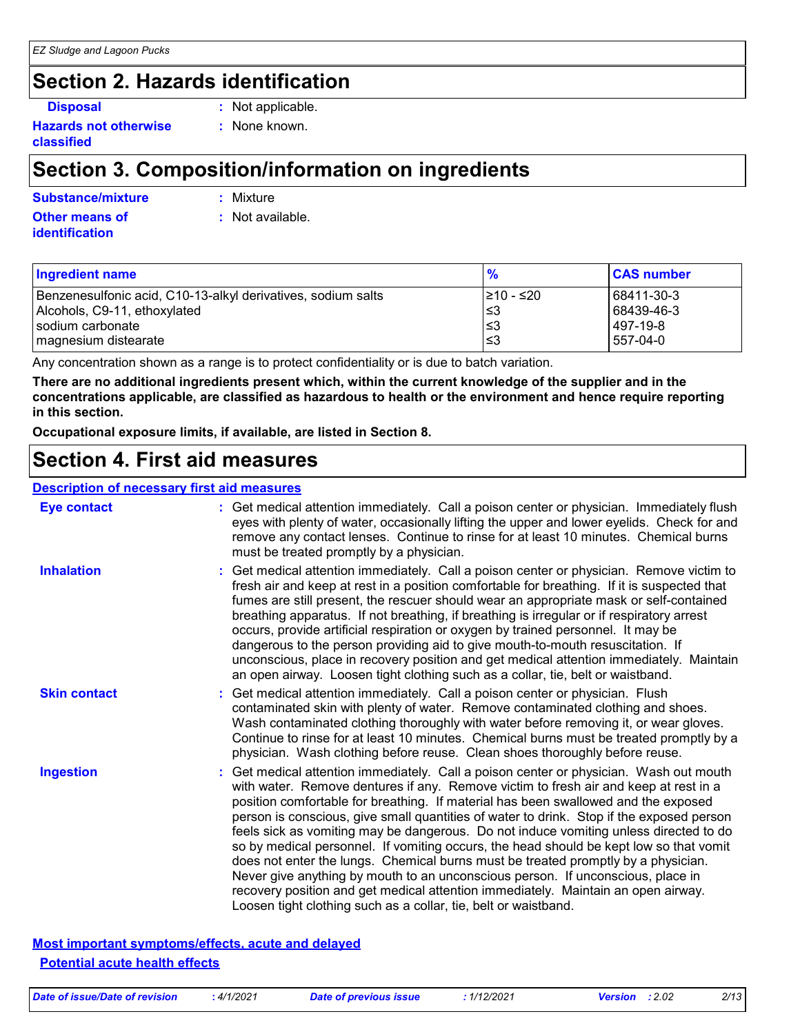### **Section 2. Hazards identification**

**Disposal :** Not applicable.

**Hazards not otherwise classified**

**:** None known.

### **Section 3. Composition/information on ingredients**

**Other means of Substance/mixture :** Mixture

**identification**

**:** Not available.

| <b>Ingredient name</b>                                       | %          | <b>CAS number</b> |
|--------------------------------------------------------------|------------|-------------------|
| Benzenesulfonic acid, C10-13-alkyl derivatives, sodium salts | I≥10 - ≤20 | 68411-30-3        |
| Alcohols, C9-11, ethoxylated                                 | ו≥ا        | 68439-46-3        |
| Isodium carbonate                                            | ∣≤3        | l 497-19-8        |
| magnesium distearate                                         | l≤3        | 557-04-0          |

Any concentration shown as a range is to protect confidentiality or is due to batch variation.

**There are no additional ingredients present which, within the current knowledge of the supplier and in the concentrations applicable, are classified as hazardous to health or the environment and hence require reporting in this section.**

**Occupational exposure limits, if available, are listed in Section 8.**

### **Section 4. First aid measures**

### **Description of necessary first aid measures**

| <b>Eye contact</b>  | : Get medical attention immediately. Call a poison center or physician. Immediately flush<br>eyes with plenty of water, occasionally lifting the upper and lower eyelids. Check for and<br>remove any contact lenses. Continue to rinse for at least 10 minutes. Chemical burns<br>must be treated promptly by a physician.                                                                                                                                                                                                                                                                                                                                                                                                                                                                                                                                                         |
|---------------------|-------------------------------------------------------------------------------------------------------------------------------------------------------------------------------------------------------------------------------------------------------------------------------------------------------------------------------------------------------------------------------------------------------------------------------------------------------------------------------------------------------------------------------------------------------------------------------------------------------------------------------------------------------------------------------------------------------------------------------------------------------------------------------------------------------------------------------------------------------------------------------------|
| <b>Inhalation</b>   | : Get medical attention immediately. Call a poison center or physician. Remove victim to<br>fresh air and keep at rest in a position comfortable for breathing. If it is suspected that<br>fumes are still present, the rescuer should wear an appropriate mask or self-contained<br>breathing apparatus. If not breathing, if breathing is irregular or if respiratory arrest<br>occurs, provide artificial respiration or oxygen by trained personnel. It may be<br>dangerous to the person providing aid to give mouth-to-mouth resuscitation. If<br>unconscious, place in recovery position and get medical attention immediately. Maintain<br>an open airway. Loosen tight clothing such as a collar, tie, belt or waistband.                                                                                                                                                  |
| <b>Skin contact</b> | : Get medical attention immediately. Call a poison center or physician. Flush<br>contaminated skin with plenty of water. Remove contaminated clothing and shoes.<br>Wash contaminated clothing thoroughly with water before removing it, or wear gloves.<br>Continue to rinse for at least 10 minutes. Chemical burns must be treated promptly by a<br>physician. Wash clothing before reuse. Clean shoes thoroughly before reuse.                                                                                                                                                                                                                                                                                                                                                                                                                                                  |
| <b>Ingestion</b>    | : Get medical attention immediately. Call a poison center or physician. Wash out mouth<br>with water. Remove dentures if any. Remove victim to fresh air and keep at rest in a<br>position comfortable for breathing. If material has been swallowed and the exposed<br>person is conscious, give small quantities of water to drink. Stop if the exposed person<br>feels sick as vomiting may be dangerous. Do not induce vomiting unless directed to do<br>so by medical personnel. If vomiting occurs, the head should be kept low so that vomit<br>does not enter the lungs. Chemical burns must be treated promptly by a physician.<br>Never give anything by mouth to an unconscious person. If unconscious, place in<br>recovery position and get medical attention immediately. Maintain an open airway.<br>Loosen tight clothing such as a collar, tie, belt or waistband. |

**Most important symptoms/effects, acute and delayed Potential acute health effects**

*Date of issue/Date of revision* **:** *4/1/2021 Date of previous issue : 1/12/2021 Version : 2.02 2/13*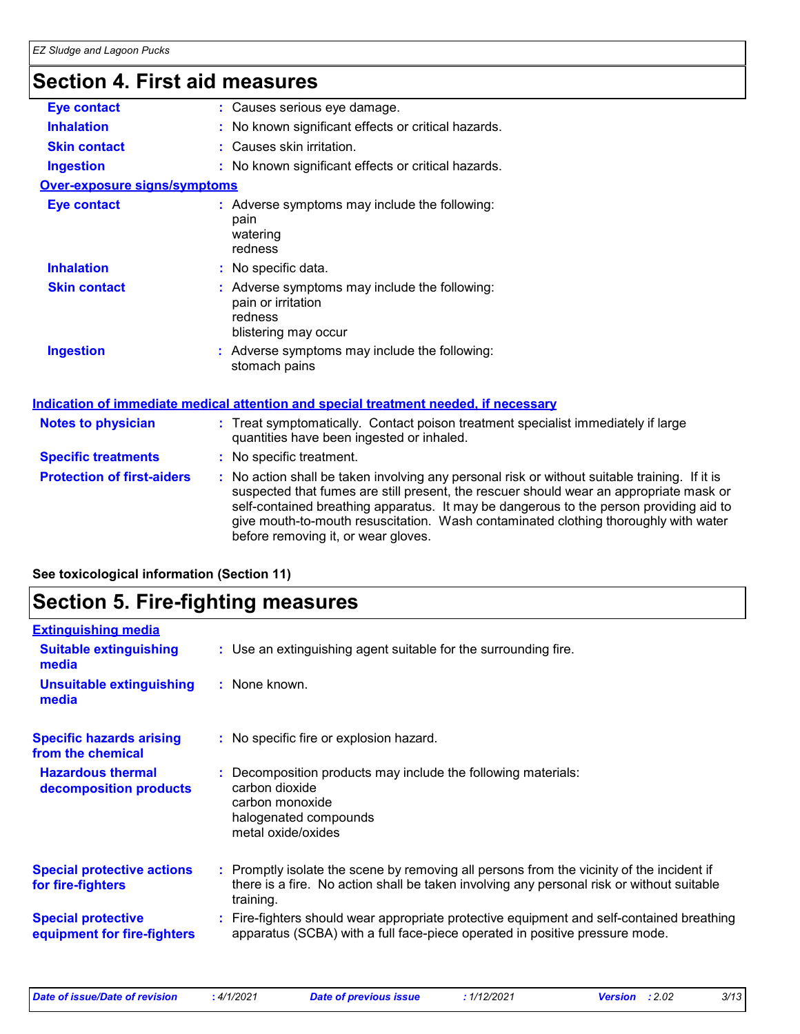### **Section 4. First aid measures**

| <b>Eye contact</b>                  | : Causes serious eye damage.                                                                                                                                                                                                                                                                                                                                                                                    |
|-------------------------------------|-----------------------------------------------------------------------------------------------------------------------------------------------------------------------------------------------------------------------------------------------------------------------------------------------------------------------------------------------------------------------------------------------------------------|
| <b>Inhalation</b>                   | : No known significant effects or critical hazards.                                                                                                                                                                                                                                                                                                                                                             |
| <b>Skin contact</b>                 | : Causes skin irritation.                                                                                                                                                                                                                                                                                                                                                                                       |
| <b>Ingestion</b>                    | : No known significant effects or critical hazards.                                                                                                                                                                                                                                                                                                                                                             |
| <b>Over-exposure signs/symptoms</b> |                                                                                                                                                                                                                                                                                                                                                                                                                 |
| <b>Eye contact</b>                  | : Adverse symptoms may include the following:<br>pain<br>watering<br>redness                                                                                                                                                                                                                                                                                                                                    |
| <b>Inhalation</b>                   | : No specific data.                                                                                                                                                                                                                                                                                                                                                                                             |
| <b>Skin contact</b>                 | : Adverse symptoms may include the following:<br>pain or irritation<br>redness<br>blistering may occur                                                                                                                                                                                                                                                                                                          |
| <b>Ingestion</b>                    | : Adverse symptoms may include the following:<br>stomach pains                                                                                                                                                                                                                                                                                                                                                  |
|                                     | Indication of immediate medical attention and special treatment needed, if necessary                                                                                                                                                                                                                                                                                                                            |
| <b>Notes to physician</b>           | : Treat symptomatically. Contact poison treatment specialist immediately if large<br>quantities have been ingested or inhaled.                                                                                                                                                                                                                                                                                  |
| <b>Specific treatments</b>          | : No specific treatment.                                                                                                                                                                                                                                                                                                                                                                                        |
| <b>Protection of first-aiders</b>   | : No action shall be taken involving any personal risk or without suitable training. If it is<br>suspected that fumes are still present, the rescuer should wear an appropriate mask or<br>self-contained breathing apparatus. It may be dangerous to the person providing aid to<br>give mouth-to-mouth resuscitation. Wash contaminated clothing thoroughly with water<br>before removing it, or wear gloves. |
|                                     |                                                                                                                                                                                                                                                                                                                                                                                                                 |

### **See toxicological information (Section 11)**

### **Section 5. Fire-fighting measures**

| <b>Extinguishing media</b>                               |                                                                                                                                                                                                     |
|----------------------------------------------------------|-----------------------------------------------------------------------------------------------------------------------------------------------------------------------------------------------------|
| <b>Suitable extinguishing</b><br>media                   | : Use an extinguishing agent suitable for the surrounding fire.                                                                                                                                     |
| <b>Unsuitable extinguishing</b><br>media                 | : None known.                                                                                                                                                                                       |
| <b>Specific hazards arising</b><br>from the chemical     | : No specific fire or explosion hazard.                                                                                                                                                             |
| <b>Hazardous thermal</b><br>decomposition products       | Decomposition products may include the following materials:<br>carbon dioxide<br>carbon monoxide<br>halogenated compounds<br>metal oxide/oxides                                                     |
| <b>Special protective actions</b><br>for fire-fighters   | : Promptly isolate the scene by removing all persons from the vicinity of the incident if<br>there is a fire. No action shall be taken involving any personal risk or without suitable<br>training. |
| <b>Special protective</b><br>equipment for fire-fighters | Fire-fighters should wear appropriate protective equipment and self-contained breathing<br>apparatus (SCBA) with a full face-piece operated in positive pressure mode.                              |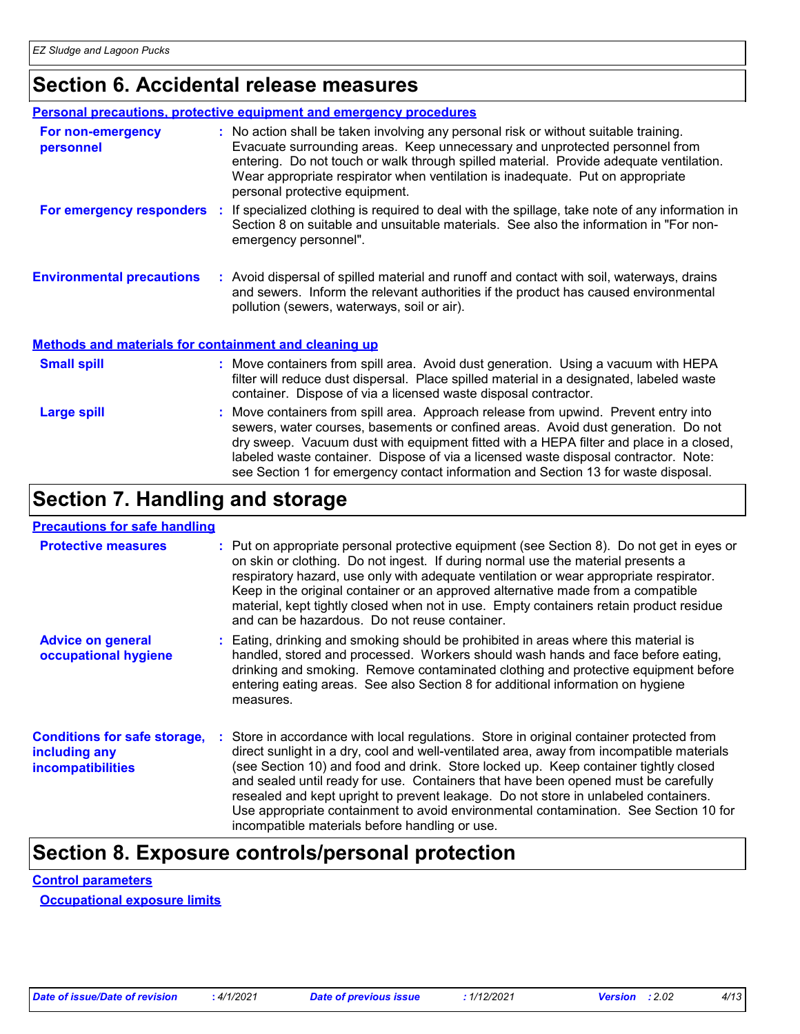### **Section 6. Accidental release measures**

|                                                              | <b>Personal precautions, protective equipment and emergency procedures</b>                                                                                                                                                                                                                                                                                                        |
|--------------------------------------------------------------|-----------------------------------------------------------------------------------------------------------------------------------------------------------------------------------------------------------------------------------------------------------------------------------------------------------------------------------------------------------------------------------|
| For non-emergency<br>personnel                               | : No action shall be taken involving any personal risk or without suitable training.<br>Evacuate surrounding areas. Keep unnecessary and unprotected personnel from<br>entering. Do not touch or walk through spilled material. Provide adequate ventilation.<br>Wear appropriate respirator when ventilation is inadequate. Put on appropriate<br>personal protective equipment. |
| For emergency responders                                     | : If specialized clothing is required to deal with the spillage, take note of any information in<br>Section 8 on suitable and unsuitable materials. See also the information in "For non-<br>emergency personnel".                                                                                                                                                                |
| <b>Environmental precautions</b>                             | : Avoid dispersal of spilled material and runoff and contact with soil, waterways, drains<br>and sewers. Inform the relevant authorities if the product has caused environmental<br>pollution (sewers, waterways, soil or air).                                                                                                                                                   |
| <b>Methods and materials for containment and cleaning up</b> |                                                                                                                                                                                                                                                                                                                                                                                   |
| <b>Small spill</b>                                           | : Move containers from spill area. Avoid dust generation. Using a vacuum with HEPA<br>filter will reduce dust dispersal. Place spilled material in a designated, labeled waste                                                                                                                                                                                                    |

|             | container. Dispose of via a licensed waste disposal contractor.                                                                                                                                                                                                                                                                                                                                                                                 |
|-------------|-------------------------------------------------------------------------------------------------------------------------------------------------------------------------------------------------------------------------------------------------------------------------------------------------------------------------------------------------------------------------------------------------------------------------------------------------|
| Large spill | : Move containers from spill area. Approach release from upwind. Prevent entry into<br>sewers, water courses, basements or confined areas. Avoid dust generation. Do not<br>dry sweep. Vacuum dust with equipment fitted with a HEPA filter and place in a closed,<br>labeled waste container. Dispose of via a licensed waste disposal contractor. Note:<br>see Section 1 for emergency contact information and Section 13 for waste disposal. |

### **Section 7. Handling and storage**

### **Precautions for safe handling**

| <b>Protective measures</b>                                                       | : Put on appropriate personal protective equipment (see Section 8). Do not get in eyes or<br>on skin or clothing. Do not ingest. If during normal use the material presents a<br>respiratory hazard, use only with adequate ventilation or wear appropriate respirator.<br>Keep in the original container or an approved alternative made from a compatible<br>material, kept tightly closed when not in use. Empty containers retain product residue<br>and can be hazardous. Do not reuse container.                                                                                            |  |
|----------------------------------------------------------------------------------|---------------------------------------------------------------------------------------------------------------------------------------------------------------------------------------------------------------------------------------------------------------------------------------------------------------------------------------------------------------------------------------------------------------------------------------------------------------------------------------------------------------------------------------------------------------------------------------------------|--|
| <b>Advice on general</b><br>occupational hygiene                                 | : Eating, drinking and smoking should be prohibited in areas where this material is<br>handled, stored and processed. Workers should wash hands and face before eating,<br>drinking and smoking. Remove contaminated clothing and protective equipment before<br>entering eating areas. See also Section 8 for additional information on hygiene<br>measures.                                                                                                                                                                                                                                     |  |
| <b>Conditions for safe storage,</b><br>including any<br><b>incompatibilities</b> | Store in accordance with local regulations. Store in original container protected from<br>direct sunlight in a dry, cool and well-ventilated area, away from incompatible materials<br>(see Section 10) and food and drink. Store locked up. Keep container tightly closed<br>and sealed until ready for use. Containers that have been opened must be carefully<br>resealed and kept upright to prevent leakage. Do not store in unlabeled containers.<br>Use appropriate containment to avoid environmental contamination. See Section 10 for<br>incompatible materials before handling or use. |  |

### **Section 8. Exposure controls/personal protection**

### **Control parameters**

**Occupational exposure limits**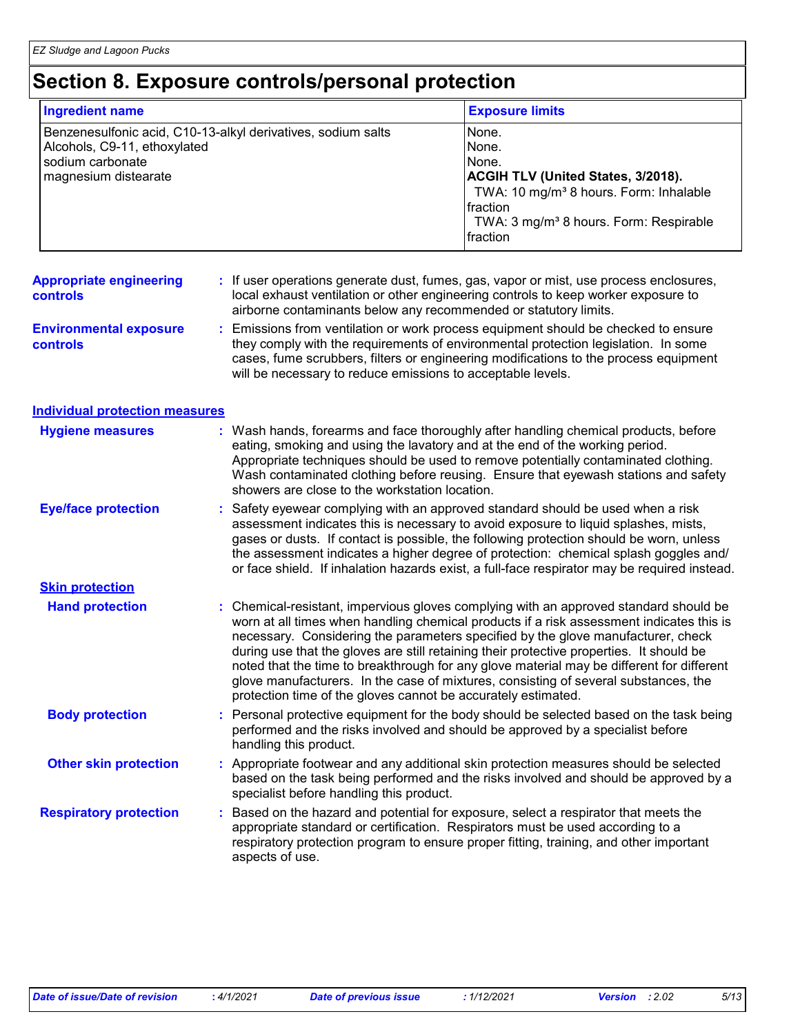## **Section 8. Exposure controls/personal protection**

| <b>Ingredient name</b>                                                                                                                   |  |                                                                                                                                | <b>Exposure limits</b>                                                                                                                                                                                                                                                                                                                                                                                                                                                                                                                              |  |  |
|------------------------------------------------------------------------------------------------------------------------------------------|--|--------------------------------------------------------------------------------------------------------------------------------|-----------------------------------------------------------------------------------------------------------------------------------------------------------------------------------------------------------------------------------------------------------------------------------------------------------------------------------------------------------------------------------------------------------------------------------------------------------------------------------------------------------------------------------------------------|--|--|
| Benzenesulfonic acid, C10-13-alkyl derivatives, sodium salts<br>Alcohols, C9-11, ethoxylated<br>sodium carbonate<br>magnesium distearate |  |                                                                                                                                | None.<br>None.<br>None.<br>ACGIH TLV (United States, 3/2018).<br>TWA: 10 mg/m <sup>3</sup> 8 hours. Form: Inhalable<br>fraction<br>TWA: 3 mg/m <sup>3</sup> 8 hours. Form: Respirable<br>fraction                                                                                                                                                                                                                                                                                                                                                   |  |  |
| <b>Appropriate engineering</b><br><b>controls</b>                                                                                        |  | airborne contaminants below any recommended or statutory limits.                                                               | If user operations generate dust, fumes, gas, vapor or mist, use process enclosures,<br>local exhaust ventilation or other engineering controls to keep worker exposure to                                                                                                                                                                                                                                                                                                                                                                          |  |  |
| <b>Environmental exposure</b><br>controls                                                                                                |  | will be necessary to reduce emissions to acceptable levels.                                                                    | Emissions from ventilation or work process equipment should be checked to ensure<br>they comply with the requirements of environmental protection legislation. In some<br>cases, fume scrubbers, filters or engineering modifications to the process equipment                                                                                                                                                                                                                                                                                      |  |  |
| <b>Individual protection measures</b>                                                                                                    |  |                                                                                                                                |                                                                                                                                                                                                                                                                                                                                                                                                                                                                                                                                                     |  |  |
| <b>Hygiene measures</b>                                                                                                                  |  | eating, smoking and using the lavatory and at the end of the working period.<br>showers are close to the workstation location. | : Wash hands, forearms and face thoroughly after handling chemical products, before<br>Appropriate techniques should be used to remove potentially contaminated clothing.<br>Wash contaminated clothing before reusing. Ensure that eyewash stations and safety                                                                                                                                                                                                                                                                                     |  |  |
| <b>Eye/face protection</b>                                                                                                               |  |                                                                                                                                | Safety eyewear complying with an approved standard should be used when a risk<br>assessment indicates this is necessary to avoid exposure to liquid splashes, mists,<br>gases or dusts. If contact is possible, the following protection should be worn, unless<br>the assessment indicates a higher degree of protection: chemical splash goggles and/<br>or face shield. If inhalation hazards exist, a full-face respirator may be required instead.                                                                                             |  |  |
| <b>Skin protection</b>                                                                                                                   |  |                                                                                                                                |                                                                                                                                                                                                                                                                                                                                                                                                                                                                                                                                                     |  |  |
| <b>Hand protection</b>                                                                                                                   |  | protection time of the gloves cannot be accurately estimated.                                                                  | Chemical-resistant, impervious gloves complying with an approved standard should be<br>worn at all times when handling chemical products if a risk assessment indicates this is<br>necessary. Considering the parameters specified by the glove manufacturer, check<br>during use that the gloves are still retaining their protective properties. It should be<br>noted that the time to breakthrough for any glove material may be different for different<br>glove manufacturers. In the case of mixtures, consisting of several substances, the |  |  |
| <b>Body protection</b>                                                                                                                   |  | handling this product.                                                                                                         | : Personal protective equipment for the body should be selected based on the task being<br>performed and the risks involved and should be approved by a specialist before                                                                                                                                                                                                                                                                                                                                                                           |  |  |
| <b>Other skin protection</b>                                                                                                             |  | specialist before handling this product.                                                                                       | : Appropriate footwear and any additional skin protection measures should be selected<br>based on the task being performed and the risks involved and should be approved by a                                                                                                                                                                                                                                                                                                                                                                       |  |  |
| <b>Respiratory protection</b>                                                                                                            |  | appropriate standard or certification. Respirators must be used according to a<br>aspects of use.                              | Based on the hazard and potential for exposure, select a respirator that meets the<br>respiratory protection program to ensure proper fitting, training, and other important                                                                                                                                                                                                                                                                                                                                                                        |  |  |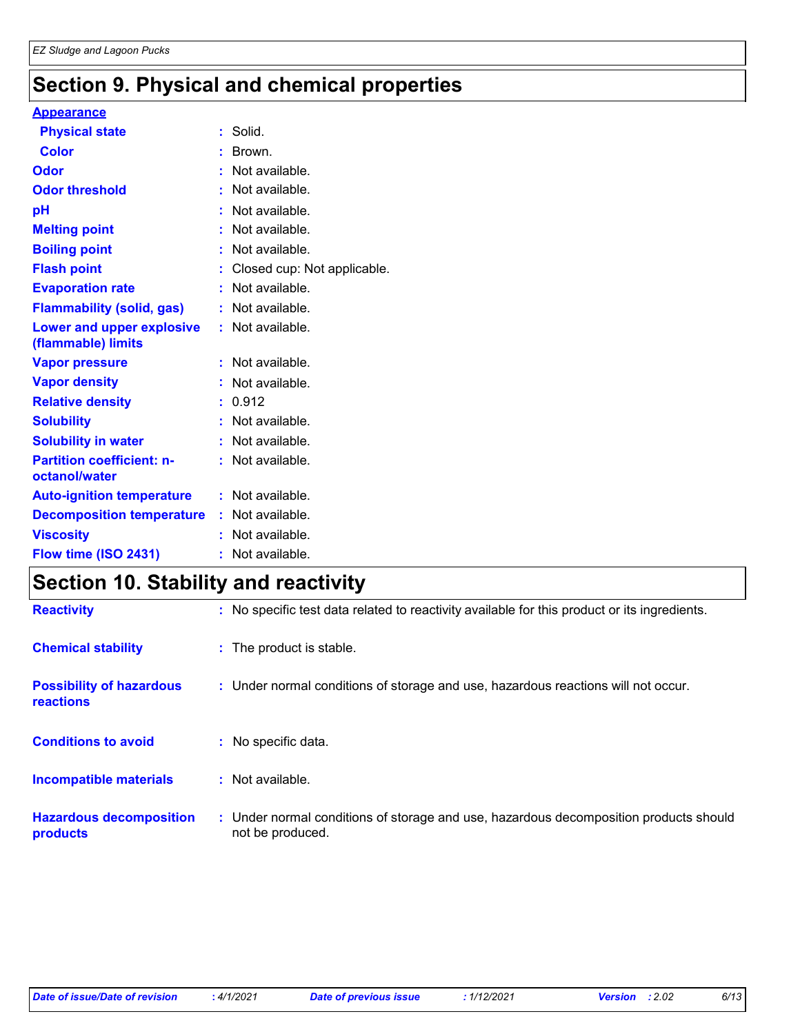### **Section 9. Physical and chemical properties**

#### **Appearance**

|                                  | : Solid.                      |
|----------------------------------|-------------------------------|
|                                  | : Brown.                      |
|                                  | : Not available.              |
|                                  | : Not available.              |
|                                  | Not available.                |
|                                  | Not available.                |
|                                  | : Not available.              |
|                                  | : Closed cup: Not applicable. |
|                                  | : Not available.              |
|                                  | : Not available.              |
|                                  | : Not available.              |
|                                  | : Not available.              |
|                                  | : Not available.              |
|                                  | : 0.912                       |
|                                  | : Not available.              |
|                                  | : Not available.              |
|                                  | : Not available.              |
|                                  | : Not available.              |
| <b>Decomposition temperature</b> | : Not available.              |
|                                  | : Not available.              |
|                                  | : Not available.              |
|                                  |                               |

### **Section 10. Stability and reactivity**

| <b>Reactivity</b>                            | : No specific test data related to reactivity available for this product or its ingredients.              |
|----------------------------------------------|-----------------------------------------------------------------------------------------------------------|
| <b>Chemical stability</b>                    | : The product is stable.                                                                                  |
| <b>Possibility of hazardous</b><br>reactions | : Under normal conditions of storage and use, hazardous reactions will not occur.                         |
| <b>Conditions to avoid</b>                   | : No specific data.                                                                                       |
| Incompatible materials                       | $:$ Not available.                                                                                        |
| <b>Hazardous decomposition</b><br>products   | : Under normal conditions of storage and use, hazardous decomposition products should<br>not be produced. |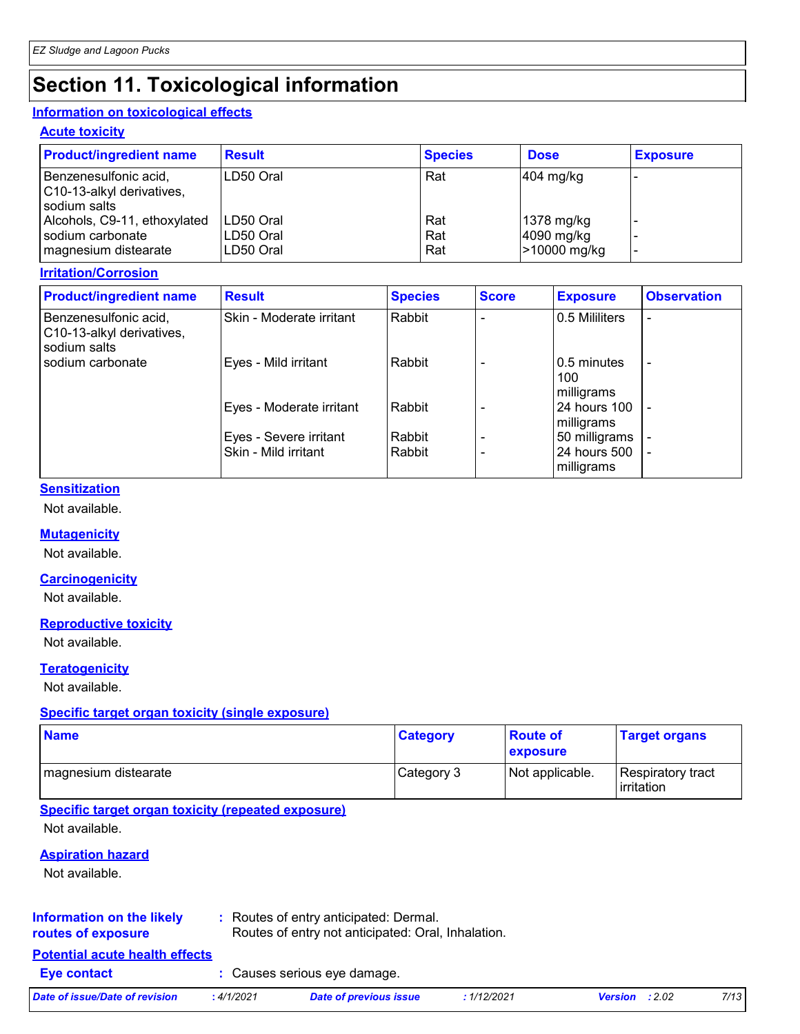## **Section 11. Toxicological information**

### **Information on toxicological effects**

### **Acute toxicity**

| <b>Product/ingredient name</b>                                           | <b>Result</b>                       | <b>Species</b>    | <b>Dose</b>                              | <b>Exposure</b> |
|--------------------------------------------------------------------------|-------------------------------------|-------------------|------------------------------------------|-----------------|
| Benzenesulfonic acid,<br>C10-13-alkyl derivatives,<br>sodium salts       | LD50 Oral                           | Rat               | $ 404 \text{ mg/kg} $                    |                 |
| Alcohols, C9-11, ethoxylated<br>sodium carbonate<br>magnesium distearate | LD50 Oral<br>LD50 Oral<br>LD50 Oral | Rat<br>Rat<br>Rat | 1378 mg/kg<br>4090 mg/kg<br>>10000 mg/kg |                 |

### **Irritation/Corrosion**

| <b>Product/ingredient name</b>                                     | <b>Result</b>            | <b>Species</b> | <b>Score</b> | <b>Exposure</b>                   | <b>Observation</b>       |
|--------------------------------------------------------------------|--------------------------|----------------|--------------|-----------------------------------|--------------------------|
| Benzenesulfonic acid,<br>C10-13-alkyl derivatives,<br>sodium salts | Skin - Moderate irritant | Rabbit         |              | 0.5 Mililiters                    |                          |
| sodium carbonate                                                   | Eyes - Mild irritant     | Rabbit         |              | 0.5 minutes<br>100<br>milligrams  | $\overline{\phantom{a}}$ |
|                                                                    | Eyes - Moderate irritant | Rabbit         |              | <b>24 hours 100</b><br>milligrams |                          |
|                                                                    | Eyes - Severe irritant   | Rabbit         |              | 50 milligrams                     |                          |
|                                                                    | Skin - Mild irritant     | Rabbit         |              | 24 hours 500<br>milligrams        |                          |

### **Sensitization**

Not available.

### **Mutagenicity**

Not available.

#### **Carcinogenicity**

Not available.

### **Reproductive toxicity**

Not available.

### **Teratogenicity**

Not available.

### **Specific target organ toxicity (single exposure)**

| <b>Name</b>          | <b>Category</b> | <b>Route of</b><br><b>exposure</b> | <b>Target organs</b>                     |
|----------------------|-----------------|------------------------------------|------------------------------------------|
| magnesium distearate | Category 3      | Not applicable.                    | Respiratory tract<br><b>l</b> irritation |

#### **Specific target organ toxicity (repeated exposure)**

Not available.

### **Aspiration hazard**

Not available.

#### **Information on the likely routes of exposure**

**:** Routes of entry anticipated: Dermal. Routes of entry not anticipated: Oral, Inhalation.

### **Potential acute health effects**

**Eye contact :** Causes serious eye damage.

*Date of issue/Date of revision* **:** *4/1/2021 Date of previous issue : 1/12/2021 Version : 2.02 7/13*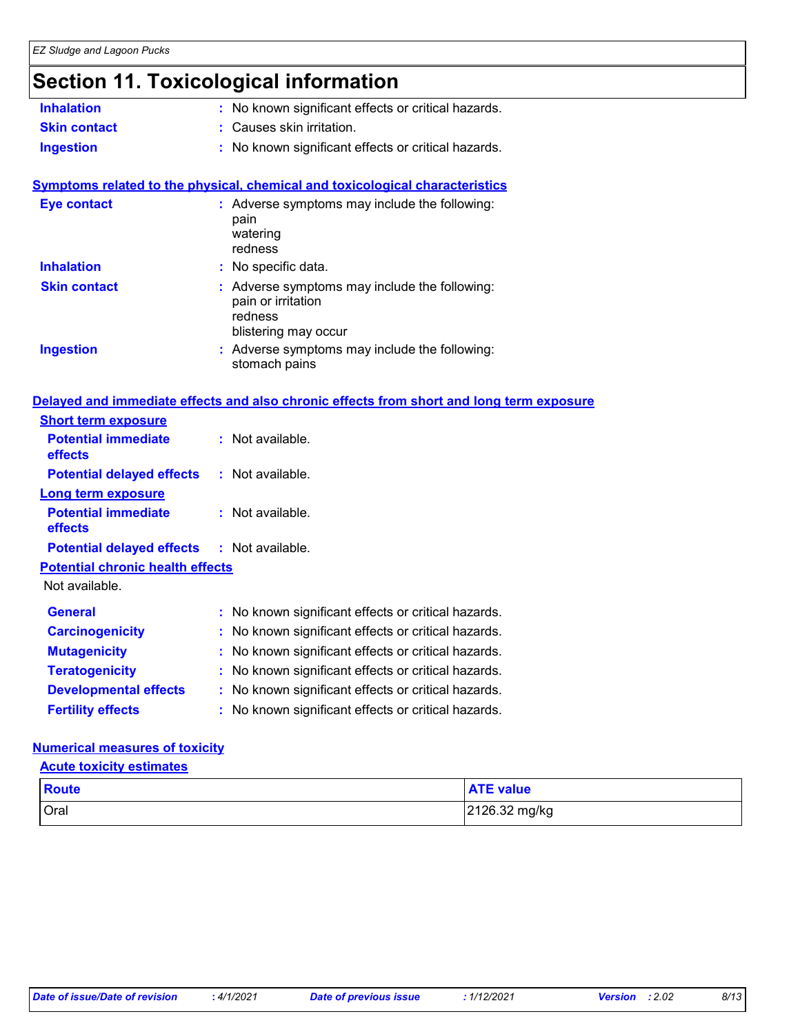### **Section 11. Toxicological information**

| <b>Inhalation</b>                       | No known significant effects or critical hazards.                                                    |
|-----------------------------------------|------------------------------------------------------------------------------------------------------|
| <b>Skin contact</b>                     | : Causes skin irritation.                                                                            |
| <b>Ingestion</b>                        | : No known significant effects or critical hazards.                                                  |
|                                         | <b>Symptoms related to the physical, chemical and toxicological characteristics</b>                  |
| <b>Eye contact</b>                      | : Adverse symptoms may include the following:<br>pain<br>watering<br>redness                         |
| <b>Inhalation</b>                       | No specific data.                                                                                    |
| <b>Skin contact</b>                     | Adverse symptoms may include the following:<br>pain or irritation<br>redness<br>blistering may occur |
| <b>Ingestion</b>                        | : Adverse symptoms may include the following:<br>stomach pains                                       |
|                                         | Delayed and immediate effects and also chronic effects from short and long term exposure             |
| <b>Short term exposure</b>              |                                                                                                      |
| <b>Potential immediate</b><br>effects   | : Not available.                                                                                     |
| <b>Potential delayed effects</b>        | : Not available.                                                                                     |
| <b>Long term exposure</b>               |                                                                                                      |
| <b>Potential immediate</b><br>effects   | : Not available.                                                                                     |
| <b>Potential delayed effects</b>        | : Not available.                                                                                     |
| <b>Potential chronic health effects</b> |                                                                                                      |
| Not available.                          |                                                                                                      |
| <b>General</b>                          | : No known significant effects or critical hazards.                                                  |
| <b>Carcinogenicity</b>                  | : No known significant effects or critical hazards.                                                  |
| <b>Mutagenicity</b>                     | No known significant effects or critical hazards.                                                    |
| <b>Teratogenicity</b>                   | No known significant effects or critical hazards.                                                    |
| <b>Developmental effects</b>            | : No known significant effects or critical hazards.                                                  |
| <b>Fertility effects</b>                | No known significant effects or critical hazards.                                                    |

### **Numerical measures of toxicity**

#### **Acute toxicity estimates**

| <b>Route</b> | <b>ATE value</b> |
|--------------|------------------|
| Oral         | 2126.32 mg/kg    |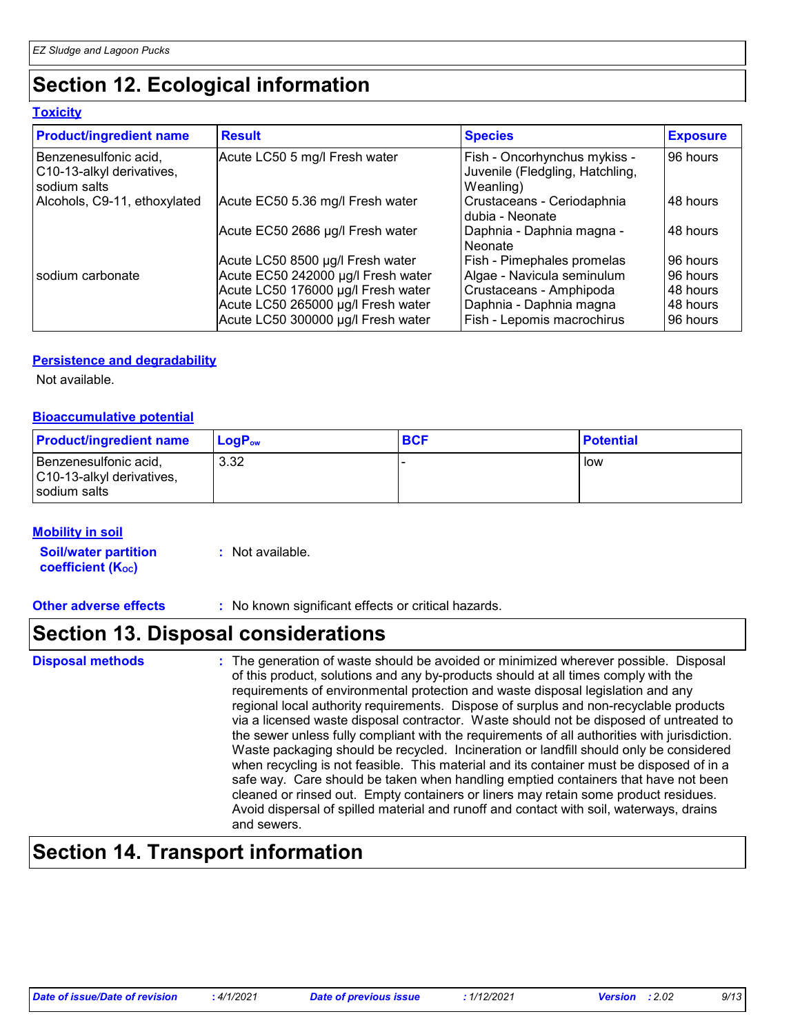### **Section 12. Ecological information**

### **Toxicity**

| <b>Product/ingredient name</b>                                     | <b>Result</b>                      | <b>Species</b>                                                               | <b>Exposure</b> |
|--------------------------------------------------------------------|------------------------------------|------------------------------------------------------------------------------|-----------------|
| Benzenesulfonic acid,<br>C10-13-alkyl derivatives,<br>sodium salts | Acute LC50 5 mg/l Fresh water      | Fish - Oncorhynchus mykiss -<br>Juvenile (Fledgling, Hatchling,<br>Weanling) | 96 hours        |
| Alcohols, C9-11, ethoxylated                                       | Acute EC50 5.36 mg/l Fresh water   | Crustaceans - Ceriodaphnia<br>I dubia - Neonate                              | 48 hours        |
|                                                                    | Acute EC50 2686 µg/l Fresh water   | Daphnia - Daphnia magna -<br>l Neonate                                       | 48 hours        |
|                                                                    | Acute LC50 8500 µg/l Fresh water   | Fish - Pimephales promelas                                                   | 96 hours        |
| I sodium carbonate                                                 | Acute EC50 242000 µg/l Fresh water | Algae - Navicula seminulum                                                   | 96 hours        |
|                                                                    | Acute LC50 176000 µg/l Fresh water | Crustaceans - Amphipoda                                                      | 48 hours        |
|                                                                    | Acute LC50 265000 µg/l Fresh water | Daphnia - Daphnia magna                                                      | 48 hours        |
|                                                                    | Acute LC50 300000 µg/l Fresh water | Fish - Lepomis macrochirus                                                   | 96 hours        |

### **Persistence and degradability**

Not available.

### **Bioaccumulative potential**

| <b>Product/ingredient name</b>                                     | <b>LogP</b> <sub>ow</sub> | <b>BCF</b> | ∣ Potential |
|--------------------------------------------------------------------|---------------------------|------------|-------------|
| Benzenesulfonic acid,<br>C10-13-alkyl derivatives,<br>sodium salts | 3.32                      |            | low         |

### **Mobility in soil**

**Soil/water partition coefficient (KOC)**

**:** Not available.

### **Other adverse effects** : No known significant effects or critical hazards.

### **Section 13. Disposal considerations**

#### **Disposal methods :**

The generation of waste should be avoided or minimized wherever possible. Disposal of this product, solutions and any by-products should at all times comply with the requirements of environmental protection and waste disposal legislation and any regional local authority requirements. Dispose of surplus and non-recyclable products via a licensed waste disposal contractor. Waste should not be disposed of untreated to the sewer unless fully compliant with the requirements of all authorities with jurisdiction. Waste packaging should be recycled. Incineration or landfill should only be considered when recycling is not feasible. This material and its container must be disposed of in a safe way. Care should be taken when handling emptied containers that have not been cleaned or rinsed out. Empty containers or liners may retain some product residues. Avoid dispersal of spilled material and runoff and contact with soil, waterways, drains and sewers.

### **Section 14. Transport information**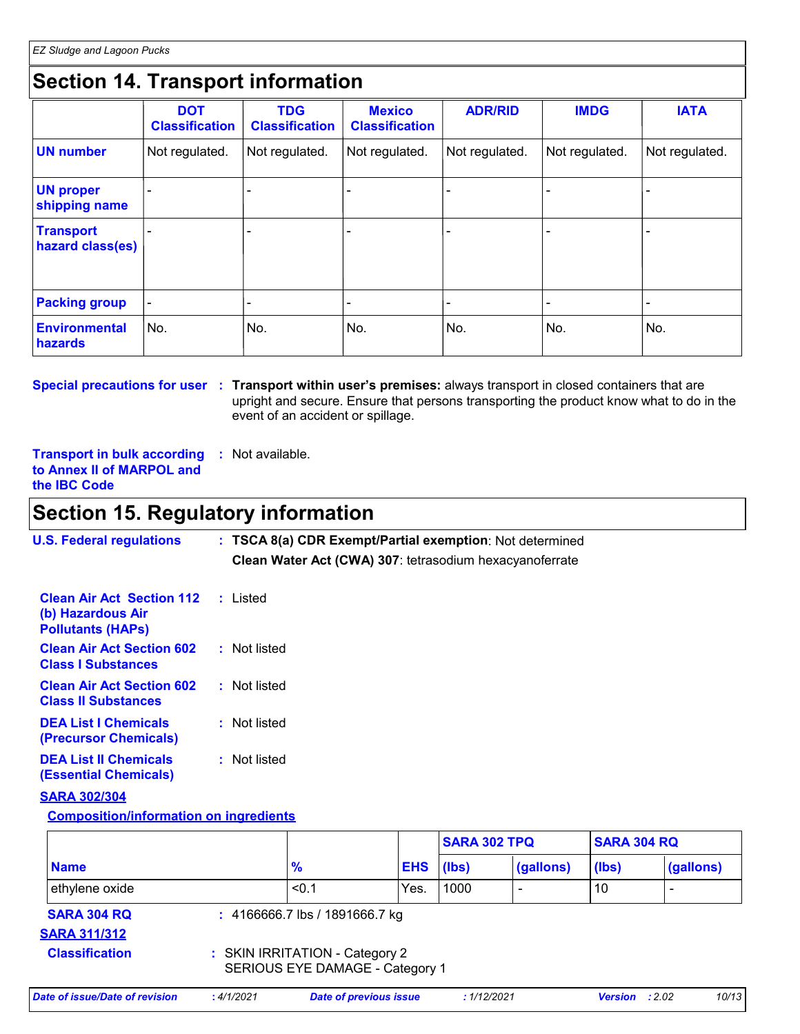### **Section 14. Transport information**

|                                      | <b>DOT</b><br><b>Classification</b> | <b>TDG</b><br><b>Classification</b> | <b>Mexico</b><br><b>Classification</b> | <b>ADR/RID</b> | <b>IMDG</b>    | <b>IATA</b>    |
|--------------------------------------|-------------------------------------|-------------------------------------|----------------------------------------|----------------|----------------|----------------|
| <b>UN number</b>                     | Not regulated.                      | Not regulated.                      | Not regulated.                         | Not regulated. | Not regulated. | Not regulated. |
| <b>UN proper</b><br>shipping name    |                                     |                                     |                                        |                |                |                |
| <b>Transport</b><br>hazard class(es) |                                     |                                     |                                        |                |                |                |
| <b>Packing group</b>                 |                                     |                                     |                                        |                |                |                |
| Environmental<br>hazards             | No.                                 | No.                                 | No.                                    | No.            | No.            | No.            |

**Special precautions for user** : Transport within user's premises: always transport in closed containers that are upright and secure. Ensure that persons transporting the product know what to do in the event of an accident or spillage.

**Transport in bulk according :** Not available. **to Annex II of MARPOL and the IBC Code**

### **Section 15. Regulatory information**

| <b>U.S. Federal regulations</b>                                                   | : TSCA 8(a) CDR Exempt/Partial exemption: Not determined<br>Clean Water Act (CWA) 307: tetrasodium hexacyanoferrate |
|-----------------------------------------------------------------------------------|---------------------------------------------------------------------------------------------------------------------|
| <b>Clean Air Act Section 112</b><br>(b) Hazardous Air<br><b>Pollutants (HAPs)</b> | : Listed                                                                                                            |
| <b>Clean Air Act Section 602</b><br><b>Class I Substances</b>                     | : Not listed                                                                                                        |
| <b>Clean Air Act Section 602</b><br><b>Class II Substances</b>                    | : Not listed                                                                                                        |
| <b>DEA List I Chemicals</b><br><b>(Precursor Chemicals)</b>                       | : Not listed                                                                                                        |
| <b>DEA List II Chemicals</b><br><b>(Essential Chemicals)</b>                      | : Not listed                                                                                                        |
| <b>SARA 302/304</b>                                                               |                                                                                                                     |

### **Composition/information on ingredients**

|                                           |                                                                   |                                |            | <b>SARA 302 TPQ</b> |                          | <b>SARA 304 RQ</b> |                          |
|-------------------------------------------|-------------------------------------------------------------------|--------------------------------|------------|---------------------|--------------------------|--------------------|--------------------------|
| <b>Name</b>                               |                                                                   | $\frac{9}{6}$                  | <b>EHS</b> | (lbs)               | (gallons)                | (Ibs)              | (gallons)                |
| ethylene oxide                            |                                                                   | < 0.1                          | Yes.       | 1000                | $\overline{\phantom{a}}$ | 10                 | $\overline{\phantom{0}}$ |
| <b>SARA 304 RQ</b><br><b>SARA 311/312</b> |                                                                   | : 4166666.7 lbs / 1891666.7 kg |            |                     |                          |                    |                          |
| <b>Classification</b>                     | : SKIN IRRITATION - Category 2<br>SERIOUS EYE DAMAGE - Category 1 |                                |            |                     |                          |                    |                          |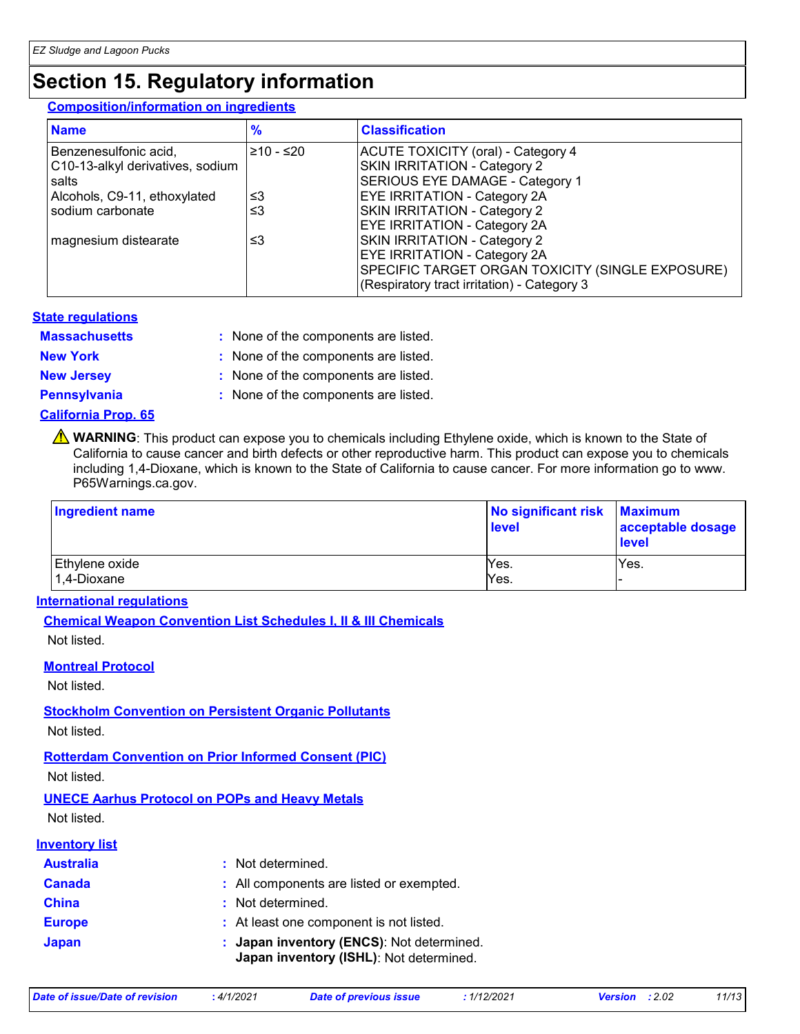### **Section 15. Regulatory information**

### **Composition/information on ingredients**

| <b>Name</b>                      | $\frac{9}{6}$ | <b>Classification</b>                            |
|----------------------------------|---------------|--------------------------------------------------|
| Benzenesulfonic acid,            | 210 - ≤20     | ACUTE TOXICITY (oral) - Category 4               |
| C10-13-alkyl derivatives, sodium |               | SKIN IRRITATION - Category 2                     |
| salts                            |               | SERIOUS EYE DAMAGE - Category 1                  |
| Alcohols, C9-11, ethoxylated     | צ≥            | <b>EYE IRRITATION - Category 2A</b>              |
| sodium carbonate                 | ≤3            | <b>SKIN IRRITATION - Category 2</b>              |
|                                  |               | <b>EYE IRRITATION - Category 2A</b>              |
| magnesium distearate             | צ≥            | <b>SKIN IRRITATION - Category 2</b>              |
|                                  |               | <b>EYE IRRITATION - Category 2A</b>              |
|                                  |               | SPECIFIC TARGET ORGAN TOXICITY (SINGLE EXPOSURE) |
|                                  |               | (Respiratory tract irritation) - Category 3      |

### **State regulations**

: None of the components are listed. **Massachusetts :**

**New York :** None of the components are listed.

**New Jersey :** None of the components are listed.

**Pennsylvania :** None of the components are listed.

### **California Prop. 65**

**A** WARNING: This product can expose you to chemicals including Ethylene oxide, which is known to the State of California to cause cancer and birth defects or other reproductive harm. This product can expose you to chemicals including 1,4-Dioxane, which is known to the State of California to cause cancer. For more information go to www. P65Warnings.ca.gov.

| Ingredient name               | No significant risk<br>level | <b>Maximum</b><br>acceptable dosage<br><b>level</b> |
|-------------------------------|------------------------------|-----------------------------------------------------|
| Ethylene oxide<br>1,4-Dioxane | Yes.<br>Yes.                 | Yes.                                                |

### **International regulations**

**Chemical Weapon Convention List Schedules I, II & III Chemicals**

Not listed.

### **Montreal Protocol**

Not listed.

### **Stockholm Convention on Persistent Organic Pollutants**

Not listed.

### **Rotterdam Convention on Prior Informed Consent (PIC)**

Not listed.

### **UNECE Aarhus Protocol on POPs and Heavy Metals**

Not listed.

### **Inventory list**

| <b>Australia</b> | : Not determined.                                                                    |
|------------------|--------------------------------------------------------------------------------------|
| <b>Canada</b>    | : All components are listed or exempted.                                             |
| <b>China</b>     | : Not determined.                                                                    |
| <b>Europe</b>    | : At least one component is not listed.                                              |
| <b>Japan</b>     | : Japan inventory (ENCS): Not determined.<br>Japan inventory (ISHL): Not determined. |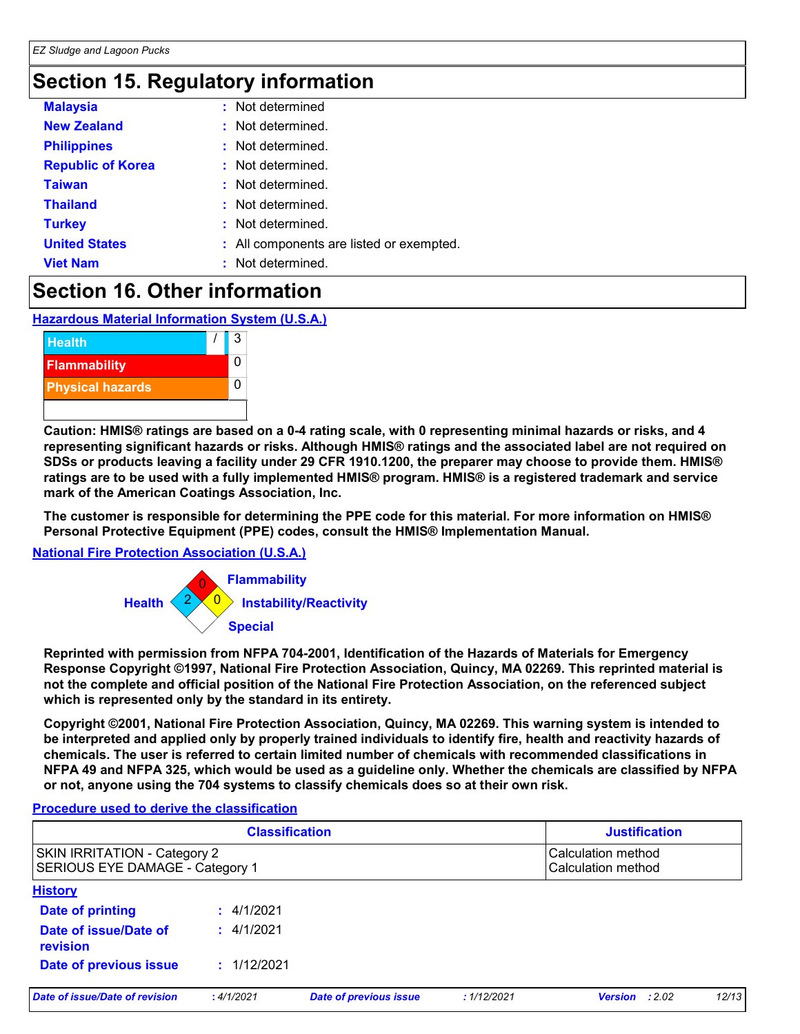### **Section 15. Regulatory information**

| <b>Malaysia</b>          | : Not determined                         |
|--------------------------|------------------------------------------|
| <b>New Zealand</b>       | : Not determined.                        |
| <b>Philippines</b>       | : Not determined.                        |
| <b>Republic of Korea</b> | : Not determined.                        |
| <b>Taiwan</b>            | : Not determined.                        |
| <b>Thailand</b>          | : Not determined.                        |
| <b>Turkey</b>            | : Not determined.                        |
| <b>United States</b>     | : All components are listed or exempted. |
| <b>Viet Nam</b>          | Not determined.                          |

### **Section 16. Other information**

**Hazardous Material Information System (U.S.A.)**



**Caution: HMIS® ratings are based on a 0-4 rating scale, with 0 representing minimal hazards or risks, and 4 representing significant hazards or risks. Although HMIS® ratings and the associated label are not required on SDSs or products leaving a facility under 29 CFR 1910.1200, the preparer may choose to provide them. HMIS® ratings are to be used with a fully implemented HMIS® program. HMIS® is a registered trademark and service mark of the American Coatings Association, Inc.**

**The customer is responsible for determining the PPE code for this material. For more information on HMIS® Personal Protective Equipment (PPE) codes, consult the HMIS® Implementation Manual.**

### **National Fire Protection Association (U.S.A.)**



**Reprinted with permission from NFPA 704-2001, Identification of the Hazards of Materials for Emergency Response Copyright ©1997, National Fire Protection Association, Quincy, MA 02269. This reprinted material is not the complete and official position of the National Fire Protection Association, on the referenced subject which is represented only by the standard in its entirety.**

**Copyright ©2001, National Fire Protection Association, Quincy, MA 02269. This warning system is intended to be interpreted and applied only by properly trained individuals to identify fire, health and reactivity hazards of chemicals. The user is referred to certain limited number of chemicals with recommended classifications in NFPA 49 and NFPA 325, which would be used as a guideline only. Whether the chemicals are classified by NFPA or not, anyone using the 704 systems to classify chemicals does so at their own risk.**

### **Procedure used to derive the classification**

| <b>Classification</b>                                           |             |                               | <b>Justification</b> |                                          |       |
|-----------------------------------------------------------------|-------------|-------------------------------|----------------------|------------------------------------------|-------|
| SKIN IRRITATION - Category 2<br>SERIOUS EYE DAMAGE - Category 1 |             |                               |                      | Calculation method<br>Calculation method |       |
| <b>History</b>                                                  |             |                               |                      |                                          |       |
| Date of printing                                                | : 4/1/2021  |                               |                      |                                          |       |
| Date of issue/Date of<br>revision                               | : 4/1/2021  |                               |                      |                                          |       |
| Date of previous issue                                          | : 1/12/2021 |                               |                      |                                          |       |
| Date of issue/Date of revision                                  | :4/1/2021   | <b>Date of previous issue</b> | : 1/12/2021          | :2.02<br><b>Version</b>                  | 12/13 |